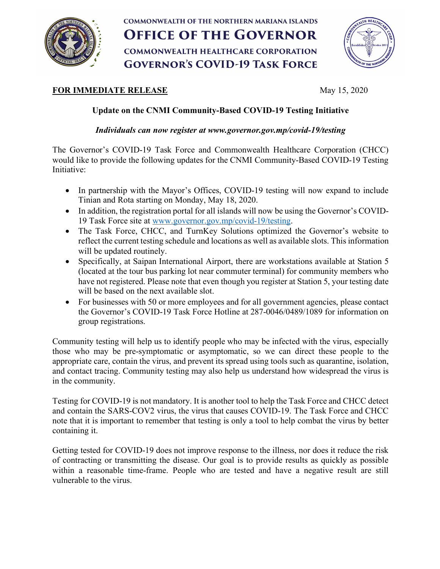

## **COMMONWEALTH OF THE NORTHERN MARIANA ISLANDS OFFICE OF THE GOVERNOR COMMONWEALTH HEALTHCARE CORPORATION GOVERNOR'S COVID-19 TASK FORCE**



## **FOR IMMEDIATE RELEASE** May 15, 2020

## **Update on the CNMI Community-Based COVID-19 Testing Initiative**

*Individuals can now register at www.governor.gov.mp/covid-19/testing*

The Governor's COVID-19 Task Force and Commonwealth Healthcare Corporation (CHCC) would like to provide the following updates for the CNMI Community-Based COVID-19 Testing Initiative:

- In partnership with the Mayor's Offices, COVID-19 testing will now expand to include Tinian and Rota starting on Monday, May 18, 2020.
- In addition, the registration portal for all islands will now be using the Governor's COVID-19 Task Force site at www.governor.gov.mp/covid-19/testing.
- The Task Force, CHCC, and TurnKey Solutions optimized the Governor's website to reflect the current testing schedule and locations as well as available slots. This information will be updated routinely.
- Specifically, at Saipan International Airport, there are workstations available at Station 5 (located at the tour bus parking lot near commuter terminal) for community members who have not registered. Please note that even though you register at Station 5, your testing date will be based on the next available slot.
- For businesses with 50 or more employees and for all government agencies, please contact the Governor's COVID-19 Task Force Hotline at 287-0046/0489/1089 for information on group registrations.

Community testing will help us to identify people who may be infected with the virus, especially those who may be pre-symptomatic or asymptomatic, so we can direct these people to the appropriate care, contain the virus, and prevent its spread using tools such as quarantine, isolation, and contact tracing. Community testing may also help us understand how widespread the virus is in the community.

Testing for COVID-19 is not mandatory. It is another tool to help the Task Force and CHCC detect and contain the SARS-COV2 virus, the virus that causes COVID-19. The Task Force and CHCC note that it is important to remember that testing is only a tool to help combat the virus by better containing it.

Getting tested for COVID-19 does not improve response to the illness, nor does it reduce the risk of contracting or transmitting the disease. Our goal is to provide results as quickly as possible within a reasonable time-frame. People who are tested and have a negative result are still vulnerable to the virus.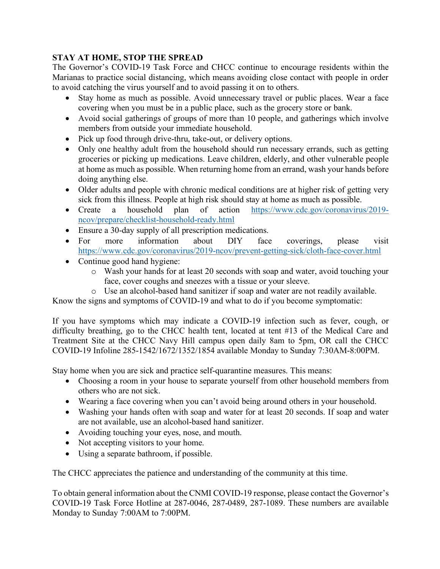## **STAY AT HOME, STOP THE SPREAD**

The Governor's COVID-19 Task Force and CHCC continue to encourage residents within the Marianas to practice social distancing, which means avoiding close contact with people in order to avoid catching the virus yourself and to avoid passing it on to others.

- Stay home as much as possible. Avoid unnecessary travel or public places. Wear a face covering when you must be in a public place, such as the grocery store or bank.
- Avoid social gatherings of groups of more than 10 people, and gatherings which involve members from outside your immediate household.
- Pick up food through drive-thru, take-out, or delivery options.
- Only one healthy adult from the household should run necessary errands, such as getting groceries or picking up medications. Leave children, elderly, and other vulnerable people at home as much as possible. When returning home from an errand, wash your hands before doing anything else.
- Older adults and people with chronic medical conditions are at higher risk of getting very sick from this illness. People at high risk should stay at home as much as possible.
- Create a household plan of action https://www.cdc.gov/coronavirus/2019ncov/prepare/checklist-household-ready.html
- Ensure a 30-day supply of all prescription medications.
- For more information about DIY face coverings, please visit https://www.cdc.gov/coronavirus/2019-ncov/prevent-getting-sick/cloth-face-cover.html
- Continue good hand hygiene:
	- o Wash your hands for at least 20 seconds with soap and water, avoid touching your face, cover coughs and sneezes with a tissue or your sleeve.
	- o Use an alcohol-based hand sanitizer if soap and water are not readily available.

Know the signs and symptoms of COVID-19 and what to do if you become symptomatic:

If you have symptoms which may indicate a COVID-19 infection such as fever, cough, or difficulty breathing, go to the CHCC health tent, located at tent #13 of the Medical Care and Treatment Site at the CHCC Navy Hill campus open daily 8am to 5pm, OR call the CHCC COVID-19 Infoline 285-1542/1672/1352/1854 available Monday to Sunday 7:30AM-8:00PM.

Stay home when you are sick and practice self-quarantine measures. This means:

- Choosing a room in your house to separate yourself from other household members from others who are not sick.
- Wearing a face covering when you can't avoid being around others in your household.
- Washing your hands often with soap and water for at least 20 seconds. If soap and water are not available, use an alcohol-based hand sanitizer.
- Avoiding touching your eyes, nose, and mouth.
- Not accepting visitors to your home.
- Using a separate bathroom, if possible.

The CHCC appreciates the patience and understanding of the community at this time.

To obtain general information about the CNMI COVID-19 response, please contact the Governor's COVID-19 Task Force Hotline at 287-0046, 287-0489, 287-1089. These numbers are available Monday to Sunday 7:00AM to 7:00PM.